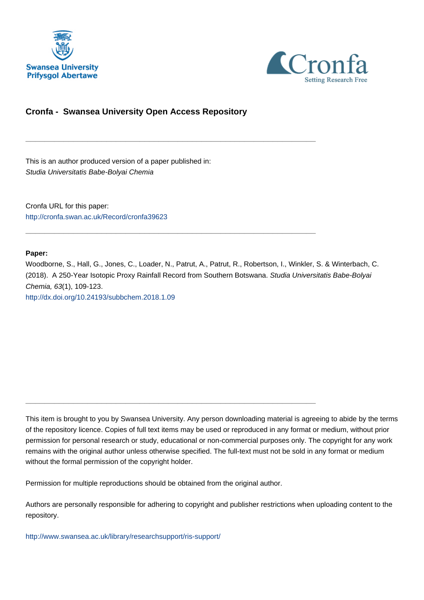



# **Cronfa - Swansea University Open Access Repository**

\_\_\_\_\_\_\_\_\_\_\_\_\_\_\_\_\_\_\_\_\_\_\_\_\_\_\_\_\_\_\_\_\_\_\_\_\_\_\_\_\_\_\_\_\_\_\_\_\_\_\_\_\_\_\_\_\_\_\_\_\_

\_\_\_\_\_\_\_\_\_\_\_\_\_\_\_\_\_\_\_\_\_\_\_\_\_\_\_\_\_\_\_\_\_\_\_\_\_\_\_\_\_\_\_\_\_\_\_\_\_\_\_\_\_\_\_\_\_\_\_\_\_

This is an author produced version of a paper published in: Studia Universitatis Babe-Bolyai Chemia

Cronfa URL for this paper: <http://cronfa.swan.ac.uk/Record/cronfa39623>

**Paper:**

Woodborne, S., Hall, G., Jones, C., Loader, N., Patrut, A., Patrut, R., Robertson, I., Winkler, S. & Winterbach, C. (2018). A 250-Year Isotopic Proxy Rainfall Record from Southern Botswana. Studia Universitatis Babe-Bolyai Chemia, 63(1), 109-123. [http://dx.doi.org/10.24193/subbchem.2018.1.09](http://dx.doi.org/10.24193/subbchem.2018.1.09 ) 

This item is brought to you by Swansea University. Any person downloading material is agreeing to abide by the terms of the repository licence. Copies of full text items may be used or reproduced in any format or medium, without prior permission for personal research or study, educational or non-commercial purposes only. The copyright for any work remains with the original author unless otherwise specified. The full-text must not be sold in any format or medium without the formal permission of the copyright holder.

Permission for multiple reproductions should be obtained from the original author.

\_\_\_\_\_\_\_\_\_\_\_\_\_\_\_\_\_\_\_\_\_\_\_\_\_\_\_\_\_\_\_\_\_\_\_\_\_\_\_\_\_\_\_\_\_\_\_\_\_\_\_\_\_\_\_\_\_\_\_\_\_

Authors are personally responsible for adhering to copyright and publisher restrictions when uploading content to the repository.

[http://www.swansea.ac.uk/library/researchsupport/ris-support/](http://www.swansea.ac.uk/library/researchsupport/ris-support/ )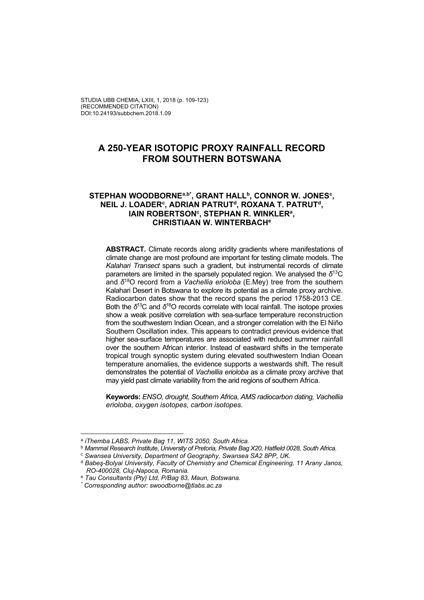STUDIA UBB CHEMIA, LXIII, 1, 2018 (p. 109-123) (RECOMMENDED CITATION) DOI:10.24193/subbchem.2018.1.09

# **A 250-YEAR ISOTOPIC PROXY RAINFALL RECORD FROM SOUTHERN BOTSWANA**

# **STEPHAN WOODBORNEa,b\*, GRANT HALLb, CONNOR W. JONESc ,**  NEIL J. LOADER<sup>c</sup>, ADRIAN PATRUT<sup>d</sup>, ROXANA T. PATRUT<sup>d</sup>, IAIN ROBERTSON<sup>c</sup>, STEPHAN R. WINKLER<sup>a</sup>, **CHRISTIAAN W. WINTERBACHe**

**ABSTRACT***.* Climate records along aridity gradients where manifestations of climate change are most profound are important for testing climate models. The *Kalahari Transect* spans such a gradient, but instrumental records of climate parameters are limited in the sparsely populated region. We analysed the *δ*13C and *δ*18O record from a *Vachellia erioloba* (E.Mey) tree from the southern Kalahari Desert in Botswana to explore its potential as a climate proxy archive. Radiocarbon dates show that the record spans the period 1758-2013 CE. Both the *δ*13C and *δ*18O records correlate with local rainfall. The isotope proxies show a weak positive correlation with sea-surface temperature reconstruction from the southwestern Indian Ocean, and a stronger correlation with the El Niño Southern Oscillation index. This appears to contradict previous evidence that higher sea-surface temperatures are associated with reduced summer rainfall over the southern African interior. Instead of eastward shifts in the temperate tropical trough synoptic system during elevated southwestern Indian Ocean temperature anomalies, the evidence supports a westwards shift. The result demonstrates the potential of *Vachellia erioloba* as a climate proxy archive that may yield past climate variability from the arid regions of southern Africa.

**Keywords:** *ENSO, drought, Southern Africa, AMS radiocarbon dating, Vachellia erioloba, oxygen isotopes, carbon isotopes.*

<sup>a</sup> *iThemba LABS, Private Bag 11, WITS 2050, South Africa.*

<sup>b</sup> *Mammal Research Institute*, *University of Pretoria, Private Bag X20, Hatfield 0028, South Africa.*

<sup>c</sup> *Swansea University, Department of Geography, Swansea SA2 8PP, UK.*

<sup>d</sup> *Babeş-Bolyai University, Faculty of Chemistry and Chemical Engineering, 11 Arany Janos, RO-400028, Cluj-Napoca, Romania.*

<sup>e</sup> *Tau Consultants (Pty) Ltd, P/Bag 83, Maun, Botswana.* 

*<sup>\*</sup> Corresponding author: swoodborne@tlabs.ac.za*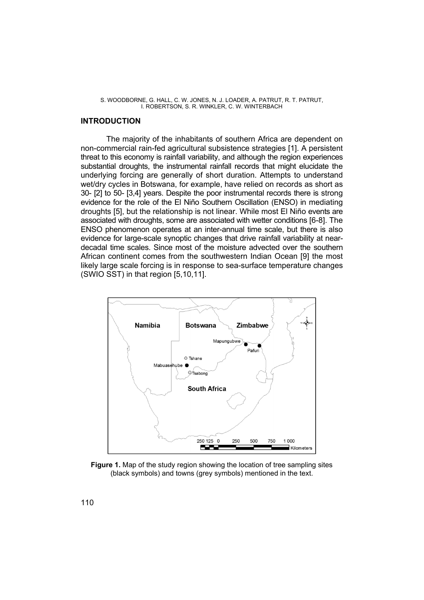# **INTRODUCTION**

The majority of the inhabitants of southern Africa are dependent on non-commercial rain-fed agricultural subsistence strategies [1]. A persistent threat to this economy is rainfall variability, and although the region experiences substantial droughts, the instrumental rainfall records that might elucidate the underlying forcing are generally of short duration. Attempts to understand wet/dry cycles in Botswana, for example, have relied on records as short as 30- [2] to 50- [3,4] years. Despite the poor instrumental records there is strong evidence for the role of the El Niño Southern Oscillation (ENSO) in mediating droughts [5], but the relationship is not linear. While most El Niño events are associated with droughts, some are associated with wetter conditions [6-8]. The ENSO phenomenon operates at an inter-annual time scale, but there is also evidence for large-scale synoptic changes that drive rainfall variability at neardecadal time scales. Since most of the moisture advected over the southern African continent comes from the southwestern Indian Ocean [9] the most likely large scale forcing is in response to sea-surface temperature changes (SWIO SST) in that region [5,10,11].



**Figure 1.** Map of the study region showing the location of tree sampling sites (black symbols) and towns (grey symbols) mentioned in the text.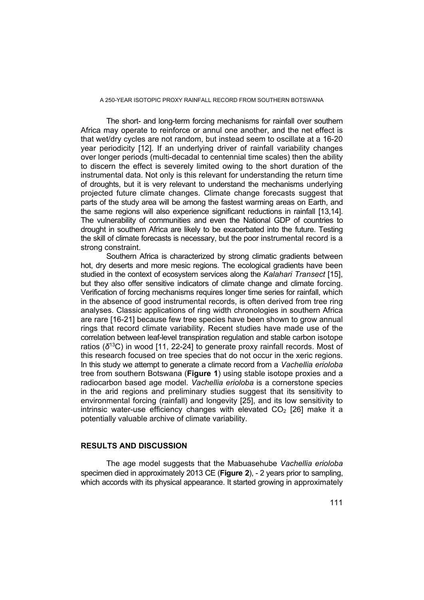The short- and long-term forcing mechanisms for rainfall over southern Africa may operate to reinforce or annul one another, and the net effect is that wet/dry cycles are not random, but instead seem to oscillate at a 16-20 year periodicity [12]. If an underlying driver of rainfall variability changes over longer periods (multi-decadal to centennial time scales) then the ability to discern the effect is severely limited owing to the short duration of the instrumental data. Not only is this relevant for understanding the return time of droughts, but it is very relevant to understand the mechanisms underlying projected future climate changes. Climate change forecasts suggest that parts of the study area will be among the fastest warming areas on Earth, and the same regions will also experience significant reductions in rainfall [13,14]. The vulnerability of communities and even the National GDP of countries to drought in southern Africa are likely to be exacerbated into the future. Testing the skill of climate forecasts is necessary, but the poor instrumental record is a strong constraint.

Southern Africa is characterized by strong climatic gradients between hot, dry deserts and more mesic regions. The ecological gradients have been studied in the context of ecosystem services along the *Kalahari Transect* [15], but they also offer sensitive indicators of climate change and climate forcing. Verification of forcing mechanisms requires longer time series for rainfall, which in the absence of good instrumental records, is often derived from tree ring analyses. Classic applications of ring width chronologies in southern Africa are rare [16-21] because few tree species have been shown to grow annual rings that record climate variability. Recent studies have made use of the correlation between leaf-level transpiration regulation and stable carbon isotope ratios (*δ*13C) in wood [11, 22-24] to generate proxy rainfall records. Most of this research focused on tree species that do not occur in the xeric regions. In this study we attempt to generate a climate record from a *Vachellia erioloba* tree from southern Botswana (**Figure 1**) using stable isotope proxies and a radiocarbon based age model. *Vachellia erioloba* is a cornerstone species in the arid regions and preliminary studies suggest that its sensitivity to environmental forcing (rainfall) and longevity [25], and its low sensitivity to intrinsic water-use efficiency changes with elevated  $CO<sub>2</sub>$  [26] make it a potentially valuable archive of climate variability.

# **RESULTS AND DISCUSSION**

The age model suggests that the Mabuasehube *Vachellia erioloba* specimen died in approximately 2013 CE (**Figure 2**), - 2 years prior to sampling, which accords with its physical appearance. It started growing in approximately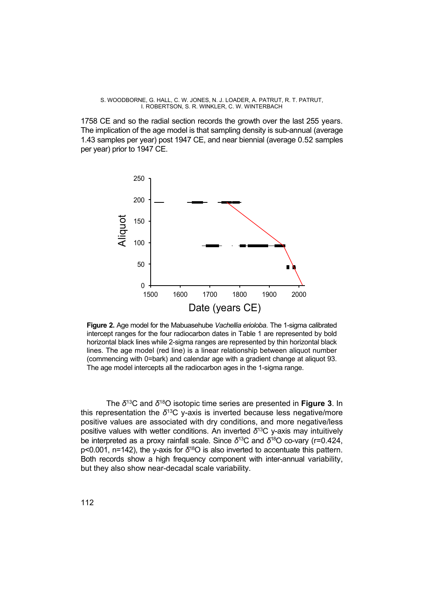1758 CE and so the radial section records the growth over the last 255 years. The implication of the age model is that sampling density is sub-annual (average 1.43 samples per year) post 1947 CE, and near biennial (average 0.52 samples per year) prior to 1947 CE.



**Figure 2.** Age model for the Mabuasehube *Vachellia erioloba*. The 1-sigma calibrated intercept ranges for the four radiocarbon dates in Table 1 are represented by bold horizontal black lines while 2-sigma ranges are represented by thin horizontal black lines. The age model (red line) is a linear relationship between aliquot number (commencing with 0=bark) and calendar age with a gradient change at aliquot 93. The age model intercepts all the radiocarbon ages in the 1-sigma range.

The *δ*13C and *δ*18O isotopic time series are presented in **Figure 3**. In this representation the *δ*13C y-axis is inverted because less negative/more positive values are associated with dry conditions, and more negative/less positive values with wetter conditions. An inverted *δ*13C y-axis may intuitively be interpreted as a proxy rainfall scale. Since *δ*13C and *δ*18O co-vary (r=0.424, p<0.001, n=142), the y-axis for *δ*18O is also inverted to accentuate this pattern. Both records show a high frequency component with inter-annual variability, but they also show near-decadal scale variability.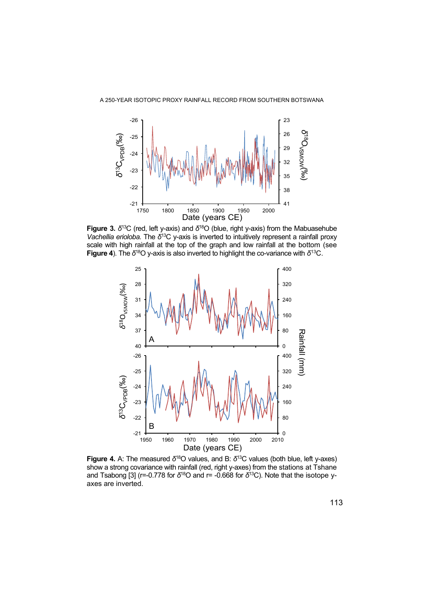

**Figure 3.** *δ*13C (red, left y-axis) and *δ*18O (blue, right y-axis) from the Mabuasehube *Vachellia erioloba.* The *δ*13C y-axis is inverted to intuitively represent a rainfall proxy scale with high rainfall at the top of the graph and low rainfall at the bottom (see **Figure 4**). The *δ*18O y-axis is also inverted to highlight the co-variance with *δ*13C.



**Figure 4.** A: The measured *δ*18O values, and B: *δ*13C values (both blue, left y-axes) show a strong covariance with rainfall (red, right y-axes) from the stations at Tshane and Tsabong [3] (r=-0.778 for *δ*18O and r= -0.668 for *δ*13C). Note that the isotope yaxes are inverted.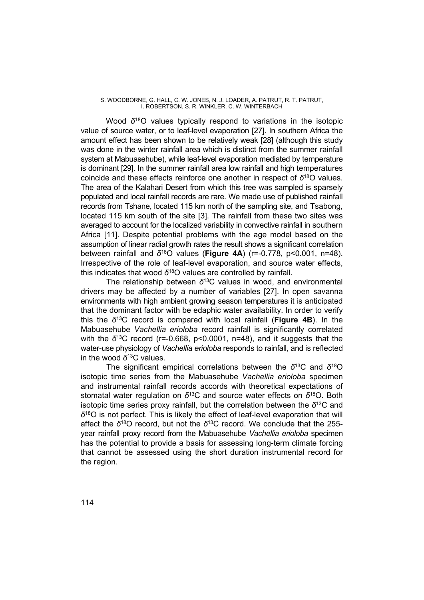Wood *δ*18O values typically respond to variations in the isotopic value of source water, or to leaf-level evaporation [27]. In southern Africa the amount effect has been shown to be relatively weak [28] (although this study was done in the winter rainfall area which is distinct from the summer rainfall system at Mabuasehube), while leaf-level evaporation mediated by temperature is dominant [29]. In the summer rainfall area low rainfall and high temperatures coincide and these effects reinforce one another in respect of *δ*18O values. The area of the Kalahari Desert from which this tree was sampled is sparsely populated and local rainfall records are rare. We made use of published rainfall records from Tshane, located 115 km north of the sampling site, and Tsabong, located 115 km south of the site [3]. The rainfall from these two sites was averaged to account for the localized variability in convective rainfall in southern Africa [11]. Despite potential problems with the age model based on the assumption of linear radial growth rates the result shows a significant correlation between rainfall and *δ*18O values (**Figure 4A**) (r=-0.778, p<0.001, n=48). Irrespective of the role of leaf-level evaporation, and source water effects, this indicates that wood *δ*18O values are controlled by rainfall.

The relationship between *δ*13C values in wood, and environmental drivers may be affected by a number of variables [27]. In open savanna environments with high ambient growing season temperatures it is anticipated that the dominant factor with be edaphic water availability. In order to verify this the *δ*13C record is compared with local rainfall (**Figure 4B**). In the Mabuasehube *Vachellia erioloba* record rainfall is significantly correlated with the *δ*13C record (r=-0.668, p<0.0001, n=48), and it suggests that the water-use physiology of *Vachellia erioloba* responds to rainfall, and is reflected in the wood *δ*13C values.

The significant empirical correlations between the *δ*13C and *δ*18O isotopic time series from the Mabuasehube *Vachellia erioloba* specimen and instrumental rainfall records accords with theoretical expectations of stomatal water regulation on *δ*13C and source water effects on *δ*18O. Both isotopic time series proxy rainfall, but the correlation between the  $\delta^{13}$ C and *δ*18O is not perfect. This is likely the effect of leaf-level evaporation that will affect the *δ*18O record, but not the *δ*13C record. We conclude that the 255 year rainfall proxy record from the Mabuasehube *Vachellia erioloba* specimen has the potential to provide a basis for assessing long-term climate forcing that cannot be assessed using the short duration instrumental record for the region.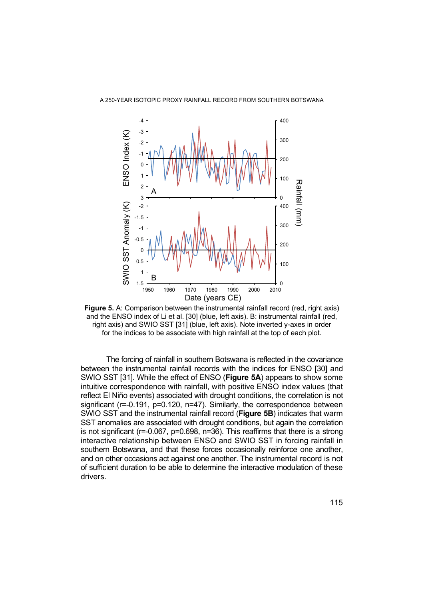

**Figure 5.** A: Comparison between the instrumental rainfall record (red, right axis) and the ENSO index of Li et al. [30] (blue, left axis). B: instrumental rainfall (red, right axis) and SWIO SST [31] (blue, left axis). Note inverted y-axes in order for the indices to be associate with high rainfall at the top of each plot.

The forcing of rainfall in southern Botswana is reflected in the covariance between the instrumental rainfall records with the indices for ENSO [30] and SWIO SST [31]. While the effect of ENSO (**Figure 5A**) appears to show some intuitive correspondence with rainfall, with positive ENSO index values (that reflect El Niño events) associated with drought conditions, the correlation is not significant (r=-0.191, p=0.120, n=47). Similarly, the correspondence between SWIO SST and the instrumental rainfall record (**Figure 5B**) indicates that warm SST anomalies are associated with drought conditions, but again the correlation is not significant (r=-0.067, p=0.698, n=36). This reaffirms that there is a strong interactive relationship between ENSO and SWIO SST in forcing rainfall in southern Botswana, and that these forces occasionally reinforce one another, and on other occasions act against one another. The instrumental record is not of sufficient duration to be able to determine the interactive modulation of these drivers.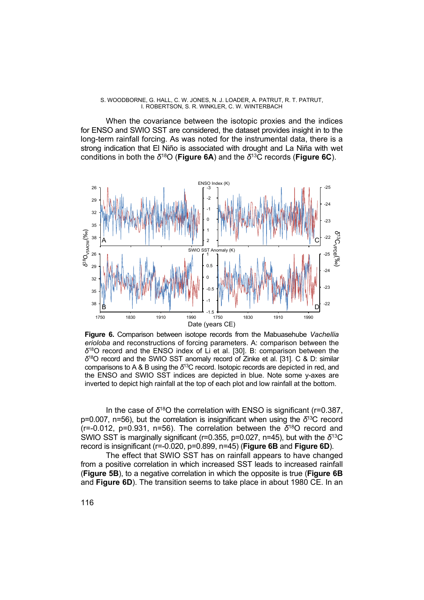When the covariance between the isotopic proxies and the indices for ENSO and SWIO SST are considered, the dataset provides insight in to the long-term rainfall forcing. As was noted for the instrumental data, there is a strong indication that El Niño is associated with drought and La Niña with wet conditions in both the *δ*18O (**Figure 6A**) and the *δ*13C records (**Figure 6C**).



**Figure 6.** Comparison between isotope records from the Mabuasehube *Vachellia erioloba* and reconstructions of forcing parameters. A: comparison between the *δ*18O record and the ENSO index of Li et al. [30]. B: comparison between the *δ*18O record and the SWIO SST anomaly record of Zinke et al. [31]. C & D: similar comparisons to A & B using the *δ*13C record. Isotopic records are depicted in red, and the ENSO and SWIO SST indices are depicted in blue. Note some y-axes are inverted to depict high rainfall at the top of each plot and low rainfall at the bottom.

In the case of *δ*18O the correlation with ENSO is significant (r=0.387, p=0.007, n=56), but the correlation is insignificant when using the *δ*13C record (r=-0.012, p=0.931, n=56). The correlation between the *δ*18O record and SWIO SST is marginally significant (r=0.355, p=0.027, n=45), but with the *δ*13C record is insignificant (r=-0.020, p=0.899, n=45) (**Figure 6B** and **Figure 6D**).

The effect that SWIO SST has on rainfall appears to have changed from a positive correlation in which increased SST leads to increased rainfall (**Figure 5B**), to a negative correlation in which the opposite is true (**Figure 6B** and **Figure 6D**). The transition seems to take place in about 1980 CE. In an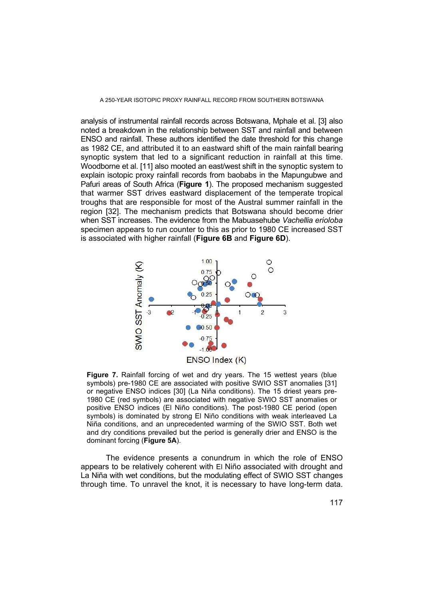analysis of instrumental rainfall records across Botswana, Mphale et al. [3] also noted a breakdown in the relationship between SST and rainfall and between ENSO and rainfall. These authors identified the date threshold for this change as 1982 CE, and attributed it to an eastward shift of the main rainfall bearing synoptic system that led to a significant reduction in rainfall at this time. Woodborne et al. [11] also mooted an east/west shift in the synoptic system to explain isotopic proxy rainfall records from baobabs in the Mapungubwe and Pafuri areas of South Africa (**Figure 1**). The proposed mechanism suggested that warmer SST drives eastward displacement of the temperate tropical troughs that are responsible for most of the Austral summer rainfall in the region [32]. The mechanism predicts that Botswana should become drier when SST increases. The evidence from the Mabuasehube *Vachellia erioloba* specimen appears to run counter to this as prior to 1980 CE increased SST is associated with higher rainfall (**Figure 6B** and **Figure 6D**).



**Figure 7.** Rainfall forcing of wet and dry years. The 15 wettest years (blue symbols) pre-1980 CE are associated with positive SWIO SST anomalies [31] or negative ENSO indices [30] (La Niña conditions). The 15 driest years pre-1980 CE (red symbols) are associated with negative SWIO SST anomalies or positive ENSO indices (El Niño conditions). The post-1980 CE period (open symbols) is dominated by strong El Niño conditions with weak interleaved La Niña conditions, and an unprecedented warming of the SWIO SST. Both wet and dry conditions prevailed but the period is generally drier and ENSO is the dominant forcing (**Figure 5A**).

The evidence presents a conundrum in which the role of ENSO appears to be relatively coherent with El Niño associated with drought and La Niña with wet conditions, but the modulating effect of SWIO SST changes through time. To unravel the knot, it is necessary to have long-term data.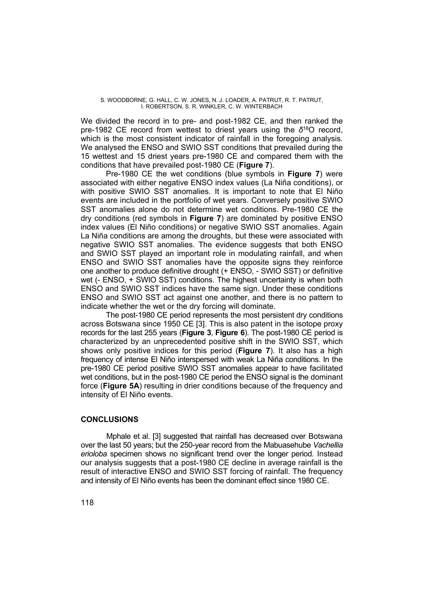We divided the record in to pre- and post-1982 CE, and then ranked the pre-1982 CE record from wettest to driest years using the *δ*18O record, which is the most consistent indicator of rainfall in the foregoing analysis. We analysed the ENSO and SWIO SST conditions that prevailed during the 15 wettest and 15 driest years pre-1980 CE and compared them with the conditions that have prevailed post-1980 CE (**Figure 7**).

Pre-1980 CE the wet conditions (blue symbols in **Figure 7**) were associated with either negative ENSO index values (La Niña conditions), or with positive SWIO SST anomalies. It is important to note that El Niño events are included in the portfolio of wet years. Conversely positive SWIO SST anomalies alone do not determine wet conditions. Pre-1980 CE the dry conditions (red symbols in **Figure 7**) are dominated by positive ENSO index values (El Niño conditions) or negative SWIO SST anomalies. Again La Niña conditions are among the droughts, but these were associated with negative SWIO SST anomalies. The evidence suggests that both ENSO and SWIO SST played an important role in modulating rainfall, and when ENSO and SWIO SST anomalies have the opposite signs they reinforce one another to produce definitive drought (+ ENSO, - SWIO SST) or definitive wet (- ENSO, + SWIO SST) conditions. The highest uncertainty is when both ENSO and SWIO SST indices have the same sign. Under these conditions ENSO and SWIO SST act against one another, and there is no pattern to indicate whether the wet or the dry forcing will dominate.

The post-1980 CE period represents the most persistent dry conditions across Botswana since 1950 CE [3]. This is also patent in the isotope proxy records for the last 255 years (**Figure 3**, **Figure 6**). The post-1980 CE period is characterized by an unprecedented positive shift in the SWIO SST, which shows only positive indices for this period (**Figure 7**). It also has a high frequency of intense El Niño interspersed with weak La Niña conditions. In the pre-1980 CE period positive SWIO SST anomalies appear to have facilitated wet conditions, but in the post-1980 CE period the ENSO signal is the dominant force (**Figure 5A**) resulting in drier conditions because of the frequency and intensity of El Niño events.

# **CONCLUSIONS**

Mphale et al. [3] suggested that rainfall has decreased over Botswana over the last 50 years; but the 250-year record from the Mabuasehube *Vachellia erioloba* specimen shows no significant trend over the longer period. Instead our analysis suggests that a post-1980 CE decline in average rainfall is the result of interactive ENSO and SWIO SST forcing of rainfall. The frequency and intensity of El Niño events has been the dominant effect since 1980 CE.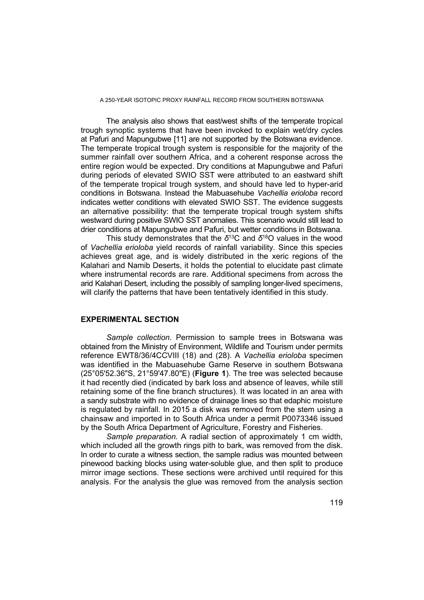The analysis also shows that east/west shifts of the temperate tropical trough synoptic systems that have been invoked to explain wet/dry cycles at Pafuri and Mapungubwe [11] are not supported by the Botswana evidence. The temperate tropical trough system is responsible for the majority of the summer rainfall over southern Africa, and a coherent response across the entire region would be expected. Dry conditions at Mapungubwe and Pafuri during periods of elevated SWIO SST were attributed to an eastward shift of the temperate tropical trough system, and should have led to hyper-arid conditions in Botswana. Instead the Mabuasehube *Vachellia erioloba* record indicates wetter conditions with elevated SWIO SST. The evidence suggests an alternative possibility: that the temperate tropical trough system shifts westward during positive SWIO SST anomalies. This scenario would still lead to drier conditions at Mapungubwe and Pafuri, but wetter conditions in Botswana.

This study demonstrates that the *δ*13C and *δ*18O values in the wood of *Vachellia erioloba* yield records of rainfall variability. Since this species achieves great age, and is widely distributed in the xeric regions of the Kalahari and Namib Deserts, it holds the potential to elucidate past climate where instrumental records are rare. Additional specimens from across the arid Kalahari Desert, including the possibly of sampling longer-lived specimens, will clarify the patterns that have been tentatively identified in this study.

# **EXPERIMENTAL SECTION**

*Sample collection.* Permission to sample trees in Botswana was obtained from the Ministry of Environment, Wildlife and Tourism under permits reference EWT8/36/4CCVIII (18) and (28). A *Vachellia erioloba* specimen was identified in the Mabuasehube Game Reserve in southern Botswana (25°05'52.36"S, 21°59'47.80"E) (**Figure 1**). The tree was selected because it had recently died (indicated by bark loss and absence of leaves, while still retaining some of the fine branch structures). It was located in an area with a sandy substrate with no evidence of drainage lines so that edaphic moisture is regulated by rainfall. In 2015 a disk was removed from the stem using a chainsaw and imported in to South Africa under a permit P0073346 issued by the South Africa Department of Agriculture, Forestry and Fisheries.

*Sample preparation.* A radial section of approximately 1 cm width, which included all the growth rings pith to bark, was removed from the disk. In order to curate a witness section, the sample radius was mounted between pinewood backing blocks using water-soluble glue, and then split to produce mirror image sections. These sections were archived until required for this analysis. For the analysis the glue was removed from the analysis section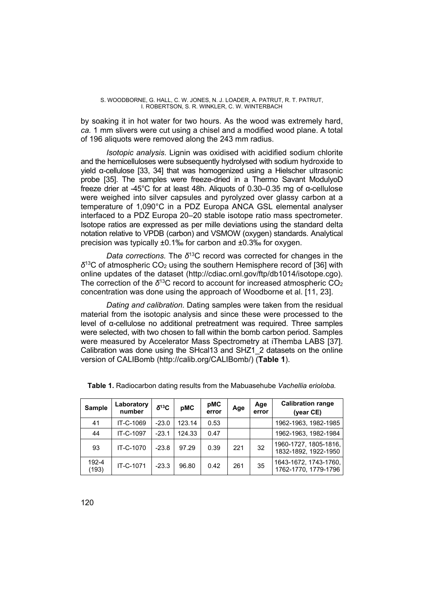by soaking it in hot water for two hours. As the wood was extremely hard, *ca.* 1 mm slivers were cut using a chisel and a modified wood plane. A total of 196 aliquots were removed along the 243 mm radius.

*Isotopic analysis.* Lignin was oxidised with acidified sodium chlorite and the hemicelluloses were subsequently hydrolysed with sodium hydroxide to yield α-cellulose [33, 34] that was homogenized using a Hielscher ultrasonic probe [35]. The samples were freeze-dried in a Thermo Savant ModulyoD freeze drier at -45°C for at least 48h. Aliquots of 0.30–0.35 mg of α-cellulose were weighed into silver capsules and pyrolyzed over glassy carbon at a temperature of 1,090°C in a PDZ Europa ANCA GSL elemental analyser interfaced to a PDZ Europa 20–20 stable isotope ratio mass spectrometer. Isotope ratios are expressed as per mille deviations using the standard delta notation relative to VPDB (carbon) and VSMOW (oxygen) standards. Analytical precision was typically ±0.1‰ for carbon and ±0.3‰ for oxygen.

*Data corrections.* The *δ*13C record was corrected for changes in the *δ*13C of atmospheric CO2 using the southern Hemisphere record of [36] with online updates of the dataset (http://cdiac.ornl.gov/ftp/db1014/isotope.cgo). The correction of the  $\delta^{13}$ C record to account for increased atmospheric CO<sub>2</sub> concentration was done using the approach of Woodborne et al. [11, 23].

*Dating and calibration.* Dating samples were taken from the residual material from the isotopic analysis and since these were processed to the level of α-cellulose no additional pretreatment was required. Three samples were selected, with two chosen to fall within the bomb carbon period. Samples were measured by Accelerator Mass Spectrometry at iThemba LABS [37]. Calibration was done using the SHcal13 and SHZ1\_2 datasets on the online version of CALIBomb (http://calib.org/CALIBomb/) (**Table 1**).

| <b>Sample</b>  | Laboratory<br>number | $\delta^{13}C$ | pMC    | pMC<br>error | Age | Age<br>error | <b>Calibration range</b><br>(year CE)         |
|----------------|----------------------|----------------|--------|--------------|-----|--------------|-----------------------------------------------|
| 41             | IT-C-1069            | $-23.0$        | 123.14 | 0.53         |     |              | 1962-1963, 1982-1985                          |
| 44             | IT-C-1097            | $-23.1$        | 124.33 | 0.47         |     |              | 1962-1963, 1982-1984                          |
| 93             | IT-C-1070            | $-23.8$        | 97.29  | 0.39         | 221 | 32           | 1960-1727, 1805-1816,<br>1832-1892, 1922-1950 |
| 192-4<br>(193) | IT-C-1071            | $-23.3$        | 96.80  | 0.42         | 261 | 35           | 1643-1672, 1743-1760,<br>1762-1770, 1779-1796 |

**Table 1.** Radiocarbon dating results from the Mabuasehube *Vachellia erioloba.*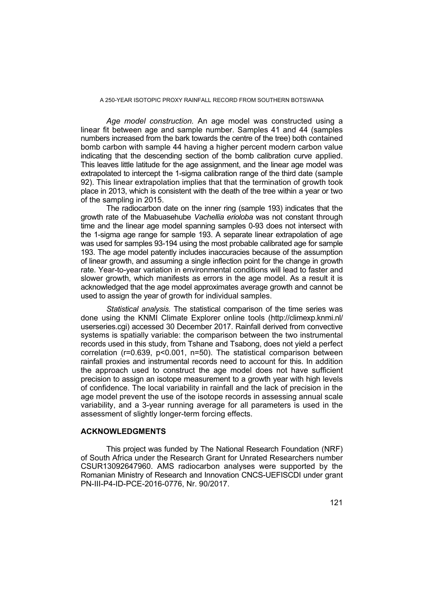*Age model construction.* An age model was constructed using a linear fit between age and sample number. Samples 41 and 44 (samples numbers increased from the bark towards the centre of the tree) both contained bomb carbon with sample 44 having a higher percent modern carbon value indicating that the descending section of the bomb calibration curve applied. This leaves little latitude for the age assignment, and the linear age model was extrapolated to intercept the 1-sigma calibration range of the third date (sample 92). This linear extrapolation implies that that the termination of growth took place in 2013, which is consistent with the death of the tree within a year or two of the sampling in 2015.

The radiocarbon date on the inner ring (sample 193) indicates that the growth rate of the Mabuasehube *Vachellia erioloba* was not constant through time and the linear age model spanning samples 0-93 does not intersect with the 1-sigma age range for sample 193. A separate linear extrapolation of age was used for samples 93-194 using the most probable calibrated age for sample 193. The age model patently includes inaccuracies because of the assumption of linear growth, and assuming a single inflection point for the change in growth rate. Year-to-year variation in environmental conditions will lead to faster and slower growth, which manifests as errors in the age model. As a result it is acknowledged that the age model approximates average growth and cannot be used to assign the year of growth for individual samples.

*Statistical analysis.* The statistical comparison of the time series was done using the KNMI Climate Explorer online tools (http://climexp.knmi.nl/ userseries.cgi) accessed 30 December 2017. Rainfall derived from convective systems is spatially variable: the comparison between the two instrumental records used in this study, from Tshane and Tsabong, does not yield a perfect correlation (r=0.639, p<0.001, n=50). The statistical comparison between rainfall proxies and instrumental records need to account for this. In addition the approach used to construct the age model does not have sufficient precision to assign an isotope measurement to a growth year with high levels of confidence. The local variability in rainfall and the lack of precision in the age model prevent the use of the isotope records in assessing annual scale variability, and a 3-year running average for all parameters is used in the assessment of slightly longer-term forcing effects.

#### **ACKNOWLEDGMENTS**

This project was funded by The National Research Foundation (NRF) of South Africa under the Research Grant for Unrated Researchers number CSUR13092647960. AMS radiocarbon analyses were supported by the Romanian Ministry of Research and Innovation CNCS-UEFISCDI under grant PN-III-P4-ID-PCE-2016-0776, Nr. 90/2017.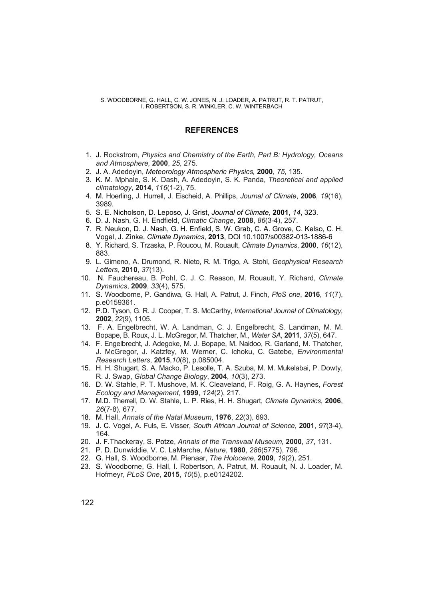# **REFERENCES**

- 1. J. Rockstrom, *Physics and Chemistry of the Earth, Part B: Hydrology, Oceans and Atmosphere,* **2000**, *25*, 275.
- 2. J. A. Adedoyin, *Meteorology Atmospheric Physics,* **2000**, *75*, 135.
- 3. K. M. Mphale, S. K. Dash, A. Adedoyin, S. K. Panda, *Theoretical and applied climatology*, **2014**, *116*(1-2), 75.
- 4. M. Hoerling, J. Hurrell, J. Eischeid, A. Phillips, *Journal of Climate*, **2006**, *19*(16), 3989.
- 5. S. E. Nicholson, D. Leposo, J. Grist, *Journal of Climate*, **2001**, *14*, 323.
- 6. D. J. Nash, G. H. Endfield, *Climatic Change*, **2008**, *86*(3-4), 257.
- 7. R. Neukon, D. J. Nash, G. H. Enfield, S. W. Grab, C. A. Grove, C. Kelso, C. H. Vogel, J. Zinke, *Climate Dynamics*, **2013**, DOI 10.1007/s00382-013-1886-6
- 8. Y. Richard, S. Trzaska, P. Roucou, M. Rouault, *Climate Dynamics*, **2000**, *16*(12), 883.
- 9. L. Gimeno, A. Drumond, R. Nieto, R. M. Trigo, A. Stohl, *Geophysical Research Letters*, **2010**, *37*(13).
- 10. N. Fauchereau, B. Pohl, C. J. C. Reason, M. Rouault, Y. Richard, *Climate Dynamics*, **2009**, *33*(4), 575.
- 11. S. Woodborne, P. Gandiwa, G. Hall, A. Patrut, J. Finch, *PloS one*, **2016**, *11*(7), p.e0159361.
- 12. P.D. Tyson, G. R. J. Cooper, T. S. McCarthy, *International Journal of Climatology,* **2002**, *22*(9), 1105.
- 13. F. A. Engelbrecht, W. A. Landman, C. J. Engelbrecht, S. Landman, M. M. Bopape, B. Roux, J. L. McGregor, M. Thatcher, M., *Water SA*, **2011**, *37*(5), 647.
- 14. F. Engelbrecht, J. Adegoke, M. J. Bopape, M. Naidoo, R. Garland, M. Thatcher, J. McGregor, J. Katzfey, M. Werner, C. Ichoku, C. Gatebe, *Environmental Research Letters*, **2015**,*10*(8), p.085004.
- 15. H. H. Shugart, S. A. Macko, P. Lesolle, T. A. Szuba, M. M. Mukelabai, P. Dowty, R. J. Swap, *Global Change Biology*, **2004**, *10*(3), 273.
- 16. D. W. Stahle, P. T. Mushove, M. K. Cleaveland, F. Roig, G. A. Haynes, *Forest Ecology and Management*, **1999**, *124*(2), 217.
- 17. M.D. Therrell, D. W. Stahle, L. P. Ries, H. H. Shugart, *Climate Dynamics*, **2006**, *26*(7-8), 677.
- 18. M. Hall, *Annals of the Natal Museum*, **1976**, *22*(3), 693.
- 19. J. C. Vogel, A. Fuls, E. Visser, *South African Journal of Science*, **2001**, *97*(3-4), 164.
- 20. J. F.Thackeray, S. Potze, *Annals of the Transvaal Museum,* **2000**, *37*, 131.
- 21. P. D. Dunwiddie, V. C. LaMarche, *Nature*, **1980**, *286*(5775), 796.
- 22. G. Hall, S. Woodborne, M. Pienaar, *The Holocene*, **2009**, *19*(2), 251.
- 23. S. Woodborne, G. Hall, I. Robertson, A. Patrut, M. Rouault, N. J. Loader, M. Hofmeyr, *PLoS One*, **2015**, *10*(5), p.e0124202.